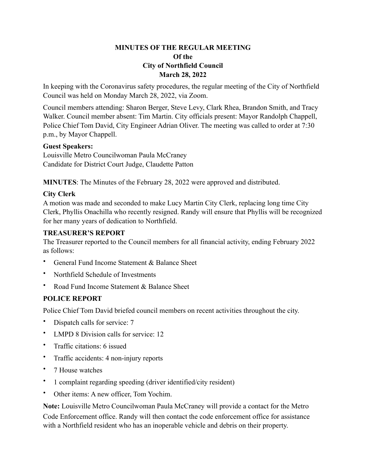### **MINUTES OF THE REGULAR MEETING Of the City of Northfield Council March 28, 2022**

In keeping with the Coronavirus safety procedures, the regular meeting of the City of Northfield Council was held on Monday March 28, 2022, via Zoom.

Council members attending: Sharon Berger, Steve Levy, Clark Rhea, Brandon Smith, and Tracy Walker. Council member absent: Tim Martin. City officials present: Mayor Randolph Chappell, Police Chief Tom David, City Engineer Adrian Oliver. The meeting was called to order at 7:30 p.m., by Mayor Chappell.

### **Guest Speakers:**

Louisville Metro Councilwoman Paula McCraney Candidate for District Court Judge, Claudette Patton

**MINUTES**: The Minutes of the February 28, 2022 were approved and distributed.

## **City Clerk**

A motion was made and seconded to make Lucy Martin City Clerk, replacing long time City Clerk, Phyllis Onachilla who recently resigned. Randy will ensure that Phyllis will be recognized for her many years of dedication to Northfield.

### **TREASURER'S REPORT**

The Treasurer reported to the Council members for all financial activity, ending February 2022 as follows:

- General Fund Income Statement & Balance Sheet
- Northfield Schedule of Investments
- Road Fund Income Statement & Balance Sheet

## **POLICE REPORT**

Police Chief Tom David briefed council members on recent activities throughout the city.

- Dispatch calls for service: 7
- LMPD 8 Division calls for service: 12
- Traffic citations: 6 issued
- Traffic accidents: 4 non-injury reports
- 7 House watches
- 1 complaint regarding speeding (driver identified/city resident)
- Other items: A new officer, Tom Yochim.

**Note:** Louisville Metro Councilwoman Paula McCraney will provide a contact for the Metro Code Enforcement office. Randy will then contact the code enforcement office for assistance with a Northfield resident who has an inoperable vehicle and debris on their property.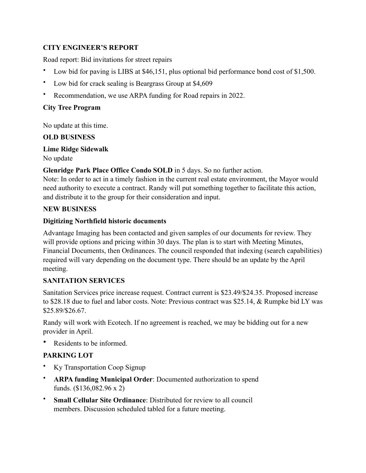# **CITY ENGINEER'S REPORT**

Road report: Bid invitations for street repairs

- Low bid for paving is LIBS at \$46,151, plus optional bid performance bond cost of \$1,500.
- Low bid for crack sealing is Beargrass Group at \$4,609
- Recommendation, we use ARPA funding for Road repairs in 2022.

### **City Tree Program**

No update at this time.

## **OLD BUSINESS**

**Lime Ridge Sidewalk** 

No update

**Glenridge Park Place Office Condo SOLD** in 5 days. So no further action.

Note: In order to act in a timely fashion in the current real estate environment, the Mayor would need authority to execute a contract. Randy will put something together to facilitate this action, and distribute it to the group for their consideration and input.

### **NEW BUSINESS**

### **Digitizing Northfield historic documents**

Advantage Imaging has been contacted and given samples of our documents for review. They will provide options and pricing within 30 days. The plan is to start with Meeting Minutes, Financial Documents, then Ordinances. The council responded that indexing (search capabilities) required will vary depending on the document type. There should be an update by the April meeting.

## **SANITATION SERVICES**

Sanitation Services price increase request. Contract current is \$23.49/\$24.35. Proposed increase to \$28.18 due to fuel and labor costs. Note: Previous contract was \$25.14, & Rumpke bid LY was \$25.89/\$26.67.

Randy will work with Ecotech. If no agreement is reached, we may be bidding out for a new provider in April.

Residents to be informed.

## **PARKING LOT**

- Ky Transportation Coop Signup
- **ARPA funding Municipal Order**: Documented authorization to spend funds. (\$136,082.96 x 2)
- **Small Cellular Site Ordinance**: Distributed for review to all council members. Discussion scheduled tabled for a future meeting.